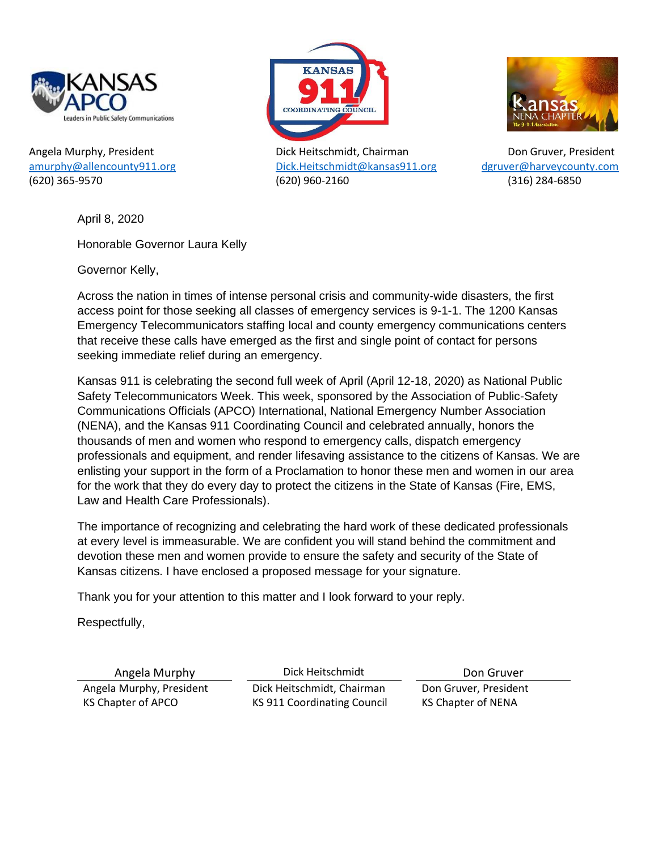



Angela Murphy, President Dick Heitschmidt, Chairman Don Gruver, President [amurphy@allencounty911.org](mailto:amurphy@allencounty911.org) [Dick.Heitschmidt@kansas911.org](mailto:Dick.Heitschmidt@kansas911.org) [dgruver@harveycounty.com](mailto:dgruver@harveycounty.com) (620) 365-9570 (620) 960-2160 (316) 284-6850



April 8, 2020

Honorable Governor Laura Kelly

Governor Kelly,

Across the nation in times of intense personal crisis and community-wide disasters, the first access point for those seeking all classes of emergency services is 9-1-1. The 1200 Kansas Emergency Telecommunicators staffing local and county emergency communications centers that receive these calls have emerged as the first and single point of contact for persons seeking immediate relief during an emergency.

Kansas 911 is celebrating the second full week of April (April 12-18, 2020) as National Public Safety Telecommunicators Week. This week, sponsored by the Association of Public-Safety Communications Officials (APCO) International, National Emergency Number Association (NENA), and the Kansas 911 Coordinating Council and celebrated annually, honors the thousands of men and women who respond to emergency calls, dispatch emergency professionals and equipment, and render lifesaving assistance to the citizens of Kansas. We are enlisting your support in the form of a Proclamation to honor these men and women in our area for the work that they do every day to protect the citizens in the State of Kansas (Fire, EMS, Law and Health Care Professionals).

The importance of recognizing and celebrating the hard work of these dedicated professionals at every level is immeasurable. We are confident you will stand behind the commitment and devotion these men and women provide to ensure the safety and security of the State of Kansas citizens. I have enclosed a proposed message for your signature.

Thank you for your attention to this matter and I look forward to your reply.

Respectfully,

Angela Murphy **Dick Heitschmidt** Don Gruver Angela Murphy, President Dick Heitschmidt, Chairman Don Gruver, President KS Chapter of APCO KS 911 Coordinating Council KS Chapter of NENA